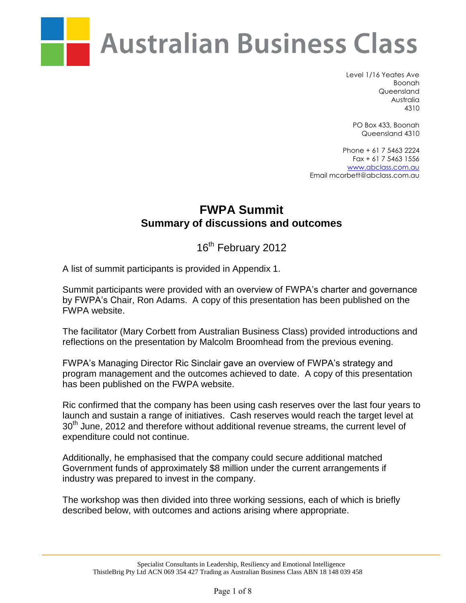

Level 1/16 Yeates Ave Boonah Queensland Australia 4310

PO Box 433, Boonah Queensland 4310

Phone + 61 7 5463 2224 Fax + 61 7 5463 1556 [www.abclass.com.au](http://www.abclass.com.au/) Email mcorbett@abclass.com.au

## **FWPA Summit Summary of discussions and outcomes**

16<sup>th</sup> February 2012

A list of summit participants is provided in Appendix 1.

Summit participants were provided with an overview of FWPA's charter and governance by FWPA's Chair, Ron Adams. A copy of this presentation has been published on the FWPA website.

The facilitator (Mary Corbett from Australian Business Class) provided introductions and reflections on the presentation by Malcolm Broomhead from the previous evening.

FWPA's Managing Director Ric Sinclair gave an overview of FWPA's strategy and program management and the outcomes achieved to date. A copy of this presentation has been published on the FWPA website.

Ric confirmed that the company has been using cash reserves over the last four years to launch and sustain a range of initiatives. Cash reserves would reach the target level at 30<sup>th</sup> June, 2012 and therefore without additional revenue streams, the current level of expenditure could not continue.

Additionally, he emphasised that the company could secure additional matched Government funds of approximately \$8 million under the current arrangements if industry was prepared to invest in the company.

The workshop was then divided into three working sessions, each of which is briefly described below, with outcomes and actions arising where appropriate.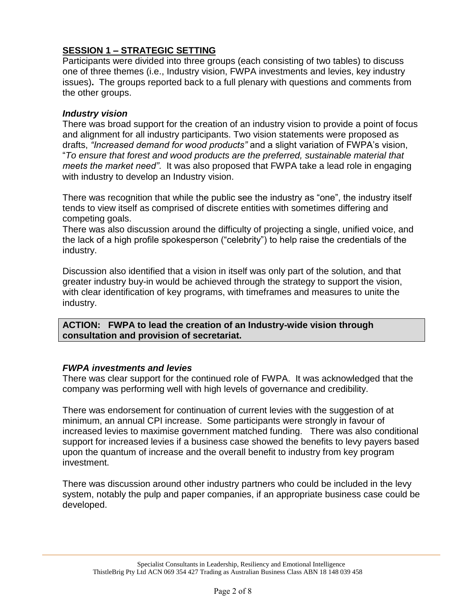## **SESSION 1 – STRATEGIC SETTING**

Participants were divided into three groups (each consisting of two tables) to discuss one of three themes (i.e., Industry vision, FWPA investments and levies, key industry issues)**.** The groups reported back to a full plenary with questions and comments from the other groups.

## *Industry vision*

There was broad support for the creation of an industry vision to provide a point of focus and alignment for all industry participants. Two vision statements were proposed as drafts, *"Increased demand for wood products"* and a slight variation of FWPA's vision, "*To ensure that forest and wood products are the preferred, sustainable material that meets the market need"*. It was also proposed that FWPA take a lead role in engaging with industry to develop an Industry vision.

There was recognition that while the public see the industry as "one", the industry itself tends to view itself as comprised of discrete entities with sometimes differing and competing goals.

There was also discussion around the difficulty of projecting a single, unified voice, and the lack of a high profile spokesperson ("celebrity") to help raise the credentials of the industry.

Discussion also identified that a vision in itself was only part of the solution, and that greater industry buy-in would be achieved through the strategy to support the vision, with clear identification of key programs, with timeframes and measures to unite the industry.

**ACTION: FWPA to lead the creation of an Industry-wide vision through consultation and provision of secretariat.** 

## *FWPA investments and levies*

There was clear support for the continued role of FWPA. It was acknowledged that the company was performing well with high levels of governance and credibility.

There was endorsement for continuation of current levies with the suggestion of at minimum, an annual CPI increase. Some participants were strongly in favour of increased levies to maximise government matched funding. There was also conditional support for increased levies if a business case showed the benefits to levy payers based upon the quantum of increase and the overall benefit to industry from key program investment.

There was discussion around other industry partners who could be included in the levy system, notably the pulp and paper companies, if an appropriate business case could be developed.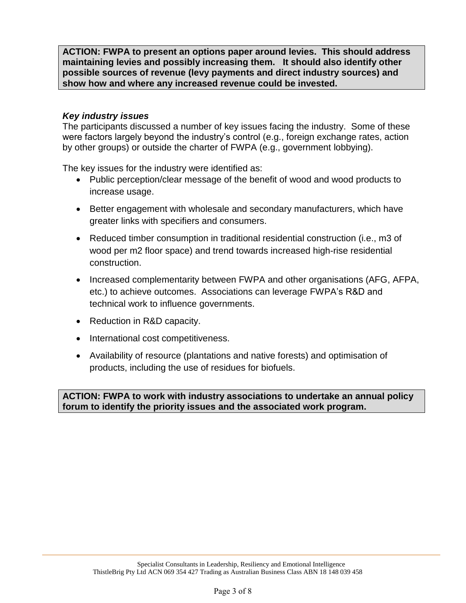**ACTION: FWPA to present an options paper around levies. This should address maintaining levies and possibly increasing them. It should also identify other possible sources of revenue (levy payments and direct industry sources) and show how and where any increased revenue could be invested.** 

## *Key industry issues*

The participants discussed a number of key issues facing the industry. Some of these were factors largely beyond the industry's control (e.g., foreign exchange rates, action by other groups) or outside the charter of FWPA (e.g., government lobbying).

The key issues for the industry were identified as:

- Public perception/clear message of the benefit of wood and wood products to increase usage.
- Better engagement with wholesale and secondary manufacturers, which have greater links with specifiers and consumers.
- Reduced timber consumption in traditional residential construction (i.e., m3 of wood per m2 floor space) and trend towards increased high-rise residential construction.
- Increased complementarity between FWPA and other organisations (AFG, AFPA, etc.) to achieve outcomes. Associations can leverage FWPA's R&D and technical work to influence governments.
- Reduction in R&D capacity.
- International cost competitiveness.
- Availability of resource (plantations and native forests) and optimisation of products, including the use of residues for biofuels.

**ACTION: FWPA to work with industry associations to undertake an annual policy forum to identify the priority issues and the associated work program.**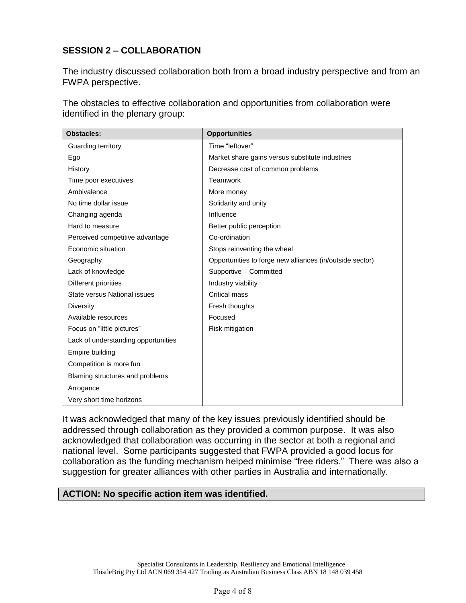## **SESSION 2 – COLLABORATION**

The industry discussed collaboration both from a broad industry perspective and from an FWPA perspective.

The obstacles to effective collaboration and opportunities from collaboration were identified in the plenary group:

| <b>Obstacles:</b>                   | <b>Opportunities</b>                                     |
|-------------------------------------|----------------------------------------------------------|
| Guarding territory                  | Time "leftover"                                          |
| Ego                                 | Market share gains versus substitute industries          |
| History                             | Decrease cost of common problems                         |
| Time poor executives                | Teamwork                                                 |
| Ambivalence                         | More money                                               |
| No time dollar issue                | Solidarity and unity                                     |
| Changing agenda                     | Influence                                                |
| Hard to measure                     | Better public perception                                 |
| Perceived competitive advantage     | Co-ordination                                            |
| Economic situation                  | Stops reinventing the wheel                              |
| Geography                           | Opportunities to forge new alliances (in/outside sector) |
| Lack of knowledge                   | Supportive - Committed                                   |
| Different priorities                | Industry viability                                       |
| State versus National issues        | Critical mass                                            |
| Diversity                           | Fresh thoughts                                           |
| Available resources                 | Focused                                                  |
| Focus on "little pictures"          | Risk mitigation                                          |
| Lack of understanding opportunities |                                                          |
| Empire building                     |                                                          |
| Competition is more fun             |                                                          |
| Blaming structures and problems     |                                                          |
| Arrogance                           |                                                          |
| Very short time horizons            |                                                          |

It was acknowledged that many of the key issues previously identified should be addressed through collaboration as they provided a common purpose. It was also acknowledged that collaboration was occurring in the sector at both a regional and national level. Some participants suggested that FWPA provided a good locus for collaboration as the funding mechanism helped minimise "free riders." There was also a suggestion for greater alliances with other parties in Australia and internationally.

### **ACTION: No specific action item was identified.**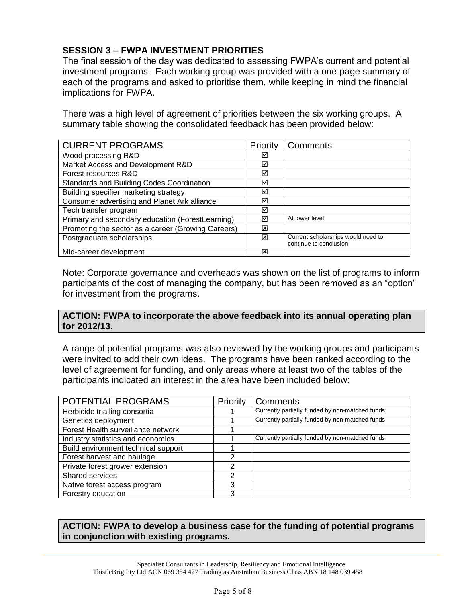## **SESSION 3 – FWPA INVESTMENT PRIORITIES**

The final session of the day was dedicated to assessing FWPA's current and potential investment programs. Each working group was provided with a one-page summary of each of the programs and asked to prioritise them, while keeping in mind the financial implications for FWPA.

There was a high level of agreement of priorities between the six working groups. A summary table showing the consolidated feedback has been provided below:

| <b>CURRENT PROGRAMS</b>                            | Priority | Comments                                                     |
|----------------------------------------------------|----------|--------------------------------------------------------------|
| Wood processing R&D                                | ⊠        |                                                              |
| Market Access and Development R&D                  | ⊠        |                                                              |
| Forest resources R&D                               | ☑        |                                                              |
| Standards and Building Codes Coordination          | ☑        |                                                              |
| Building specifier marketing strategy              | ☑        |                                                              |
| Consumer advertising and Planet Ark alliance       | ⊠        |                                                              |
| Tech transfer program                              | ⊠        |                                                              |
| Primary and secondary education (ForestLearning)   | ☑        | At lower level                                               |
| Promoting the sector as a career (Growing Careers) | ⊠        |                                                              |
| Postgraduate scholarships                          | ⊠        | Current scholarships would need to<br>continue to conclusion |
| Mid-career development                             | ⊠        |                                                              |

Note: Corporate governance and overheads was shown on the list of programs to inform participants of the cost of managing the company, but has been removed as an "option" for investment from the programs.

#### **ACTION: FWPA to incorporate the above feedback into its annual operating plan for 2012/13.**

A range of potential programs was also reviewed by the working groups and participants were invited to add their own ideas. The programs have been ranked according to the level of agreement for funding, and only areas where at least two of the tables of the participants indicated an interest in the area have been included below:

| POTENTIAL PROGRAMS                  | Priority | Comments                                        |
|-------------------------------------|----------|-------------------------------------------------|
| Herbicide trialling consortia       |          | Currently partially funded by non-matched funds |
| Genetics deployment                 |          | Currently partially funded by non-matched funds |
| Forest Health surveillance network  |          |                                                 |
| Industry statistics and economics   |          | Currently partially funded by non-matched funds |
| Build environment technical support |          |                                                 |
| Forest harvest and haulage          | າ        |                                                 |
| Private forest grower extension     | າ        |                                                 |
| Shared services                     | 2        |                                                 |
| Native forest access program        | 3        |                                                 |
| Forestry education                  | 3        |                                                 |

### **ACTION: FWPA to develop a business case for the funding of potential programs in conjunction with existing programs.**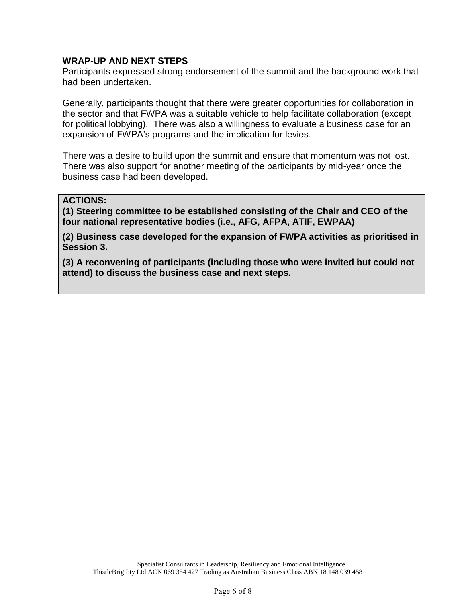### **WRAP-UP AND NEXT STEPS**

Participants expressed strong endorsement of the summit and the background work that had been undertaken.

Generally, participants thought that there were greater opportunities for collaboration in the sector and that FWPA was a suitable vehicle to help facilitate collaboration (except for political lobbying). There was also a willingness to evaluate a business case for an expansion of FWPA's programs and the implication for levies.

There was a desire to build upon the summit and ensure that momentum was not lost. There was also support for another meeting of the participants by mid-year once the business case had been developed.

#### **ACTIONS:**

**(1) Steering committee to be established consisting of the Chair and CEO of the four national representative bodies (i.e., AFG, AFPA, ATIF, EWPAA)**

**(2) Business case developed for the expansion of FWPA activities as prioritised in Session 3.**

**(3) A reconvening of participants (including those who were invited but could not attend) to discuss the business case and next steps.**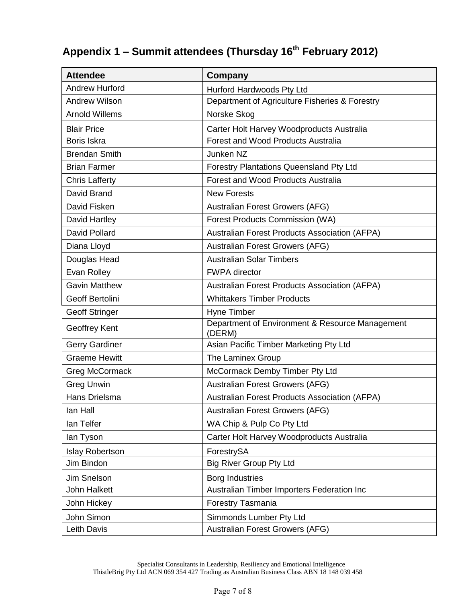# **Appendix 1 – Summit attendees (Thursday 16th February 2012)**

| <b>Attendee</b>        | Company                                                   |  |
|------------------------|-----------------------------------------------------------|--|
| <b>Andrew Hurford</b>  | Hurford Hardwoods Pty Ltd                                 |  |
| <b>Andrew Wilson</b>   | Department of Agriculture Fisheries & Forestry            |  |
| <b>Arnold Willems</b>  | Norske Skog                                               |  |
| <b>Blair Price</b>     | Carter Holt Harvey Woodproducts Australia                 |  |
| Boris Iskra            | <b>Forest and Wood Products Australia</b>                 |  |
| <b>Brendan Smith</b>   | Junken NZ                                                 |  |
| <b>Brian Farmer</b>    | <b>Forestry Plantations Queensland Pty Ltd</b>            |  |
| <b>Chris Lafferty</b>  | <b>Forest and Wood Products Australia</b>                 |  |
| David Brand            | <b>New Forests</b>                                        |  |
| David Fisken           | Australian Forest Growers (AFG)                           |  |
| David Hartley          | <b>Forest Products Commission (WA)</b>                    |  |
| David Pollard          | <b>Australian Forest Products Association (AFPA)</b>      |  |
| Diana Lloyd            | Australian Forest Growers (AFG)                           |  |
| Douglas Head           | <b>Australian Solar Timbers</b>                           |  |
| Evan Rolley            | <b>FWPA</b> director                                      |  |
| <b>Gavin Matthew</b>   | Australian Forest Products Association (AFPA)             |  |
| <b>Geoff Bertolini</b> | <b>Whittakers Timber Products</b>                         |  |
| <b>Geoff Stringer</b>  | Hyne Timber                                               |  |
| Geoffrey Kent          | Department of Environment & Resource Management<br>(DERM) |  |
| <b>Gerry Gardiner</b>  | Asian Pacific Timber Marketing Pty Ltd                    |  |
| <b>Graeme Hewitt</b>   | The Laminex Group                                         |  |
| <b>Greg McCormack</b>  | McCormack Demby Timber Pty Ltd                            |  |
| <b>Greg Unwin</b>      | Australian Forest Growers (AFG)                           |  |
| Hans Drielsma          | Australian Forest Products Association (AFPA)             |  |
| lan Hall               | Australian Forest Growers (AFG)                           |  |
| lan Telfer             | WA Chip & Pulp Co Pty Ltd                                 |  |
| lan Tyson              | Carter Holt Harvey Woodproducts Australia                 |  |
| <b>Islay Robertson</b> | ForestrySA                                                |  |
| Jim Bindon             | <b>Big River Group Pty Ltd</b>                            |  |
| Jim Snelson            | <b>Borg Industries</b>                                    |  |
| <b>John Halkett</b>    | Australian Timber Importers Federation Inc                |  |
| John Hickey            | Forestry Tasmania                                         |  |
| John Simon             | Simmonds Lumber Pty Ltd                                   |  |
| Leith Davis            | Australian Forest Growers (AFG)                           |  |